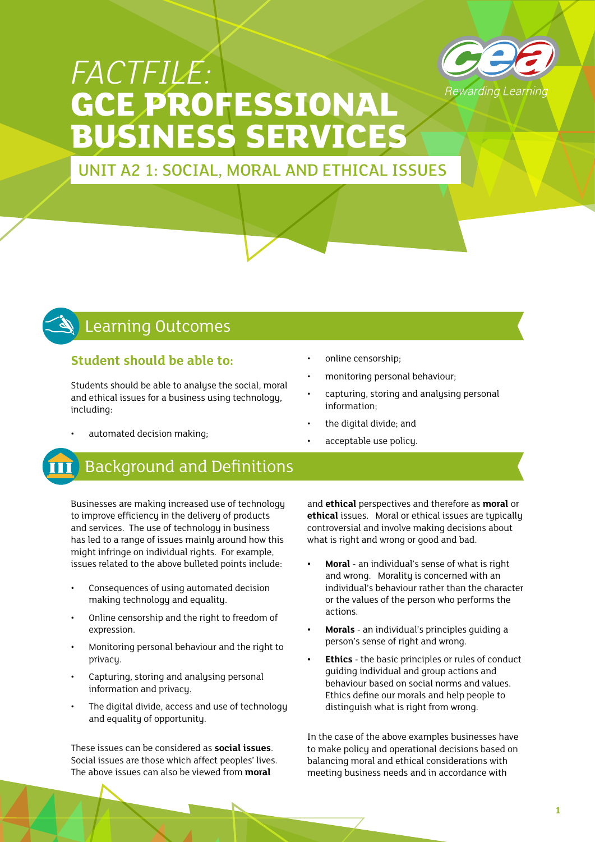

# *FACTFILE:* **GCE PROFESSIONAL BUSINESS SERVICES**

UNIT A2 1: SOCIAL, MORAL AND ETHICAL ISSUES

# Learning Outcomes

# **Student should be able to:**

Students should be able to analyse the social, moral and ethical issues for a business using technology, including:

• automated decision making;

- online censorship;
- monitoring personal behaviour;
- capturing, storing and analysing personal information;
- the digital divide; and
- acceptable use policy.

# Background and Definitions

Businesses are making increased use of technology to improve efficiency in the delivery of products and services. The use of technology in business has led to a range of issues mainly around how this might infringe on individual rights. For example, issues related to the above bulleted points include:

- Consequences of using automated decision making technology and equality.
- Online censorship and the right to freedom of expression.
- Monitoring personal behaviour and the right to privacy.
- Capturing, storing and analysing personal information and privacy.
- The digital divide, access and use of technology and equality of opportunity.

These issues can be considered as **social issues**. Social issues are those which affect peoples' lives. The above issues can also be viewed from **moral** 

and **ethical** perspectives and therefore as **moral** or **ethical** issues. Moral or ethical issues are typically controversial and involve making decisions about what is right and wrong or good and bad.

- **• Moral** an individual's sense of what is right and wrong. Morality is concerned with an individual's behaviour rather than the character or the values of the person who performs the actions.
- **• Morals** an individual's principles guiding a person's sense of right and wrong.
- **• Ethics**  the basic principles or rules of conduct guiding individual and group actions and behaviour based on social norms and values. Ethics define our morals and help people to distinguish what is right from wrong.

In the case of the above examples businesses have to make policy and operational decisions based on balancing moral and ethical considerations with meeting business needs and in accordance with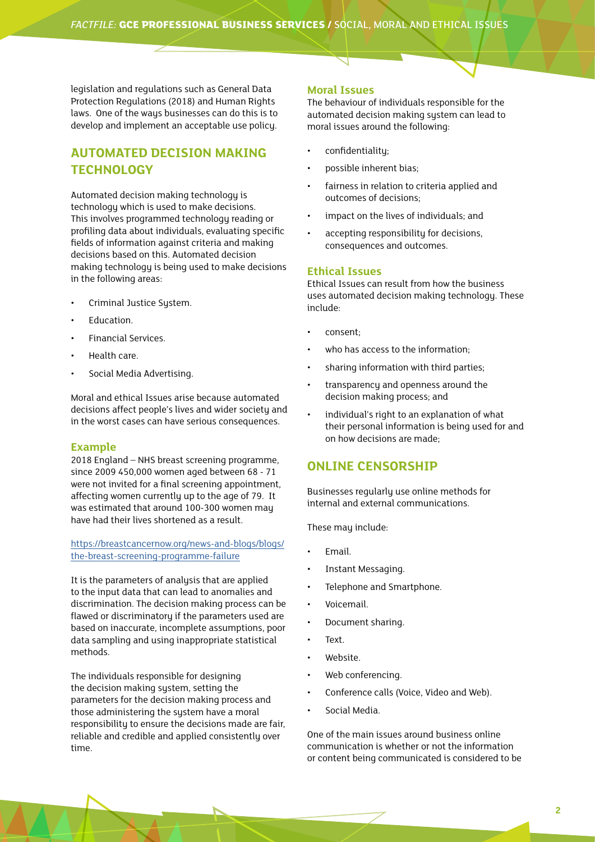legislation and regulations such as General Data Protection Regulations (2018) and Human Rights laws. One of the ways businesses can do this is to develop and implement an acceptable use policy.

# **AUTOMATED DECISION MAKING TECHNOLOGY**

Automated decision making technology is technology which is used to make decisions. This involves programmed technology reading or profiling data about individuals, evaluating specific fields of information against criteria and making decisions based on this. Automated decision making technology is being used to make decisions in the following areas:

- Criminal Justice Sustem.
- Education.
- Financial Services.
- Health care.
- Social Media Advertising.

Moral and ethical Issues arise because automated decisions affect people's lives and wider society and in the worst cases can have serious consequences.

#### **Example**

2018 England – NHS breast screening programme, since 2009 450,000 women aged between 68 - 71 were not invited for a final screening appointment, affecting women currently up to the age of 79. It was estimated that around 100-300 women may have had their lives shortened as a result.

[https://breastcancernow.org/news-and-blogs/blogs/](https://breastcancernow.org/news-and-blogs/blogs/the-breast-screening-programme-failure) [the-breast-screening-programme-failure](https://breastcancernow.org/news-and-blogs/blogs/the-breast-screening-programme-failure)

It is the parameters of analysis that are applied to the input data that can lead to anomalies and discrimination. The decision making process can be flawed or discriminatory if the parameters used are based on inaccurate, incomplete assumptions, poor data sampling and using inappropriate statistical methods.

The individuals responsible for designing the decision making system, setting the parameters for the decision making process and those administering the system have a moral responsibility to ensure the decisions made are fair, reliable and credible and applied consistently over time.

#### **Moral Issues**

The behaviour of individuals responsible for the automated decision making system can lead to moral issues around the following:

- confidentiality;
- possible inherent bias;
- fairness in relation to criteria applied and outcomes of decisions;
- impact on the lives of individuals; and
- accepting responsibility for decisions, consequences and outcomes.

#### **Ethical Issues**

Ethical Issues can result from how the business uses automated decision making technology. These include:

- consent;
- who has access to the information;
- sharing information with third parties;
- transparency and openness around the decision making process; and
- individual's right to an explanation of what their personal information is being used for and on how decisions are made;

## **ONLINE CENSORSHIP**

Businesses regularly use online methods for internal and external communications.

These may include:

- Email.
- Instant Messaging.
- Telephone and Smartphone.
- Voicemail.
- Document sharing.
- Text.
- Website.
- Web conferencing.
- Conference calls (Voice, Video and Web).
- Social Media.

One of the main issues around business online communication is whether or not the information or content being communicated is considered to be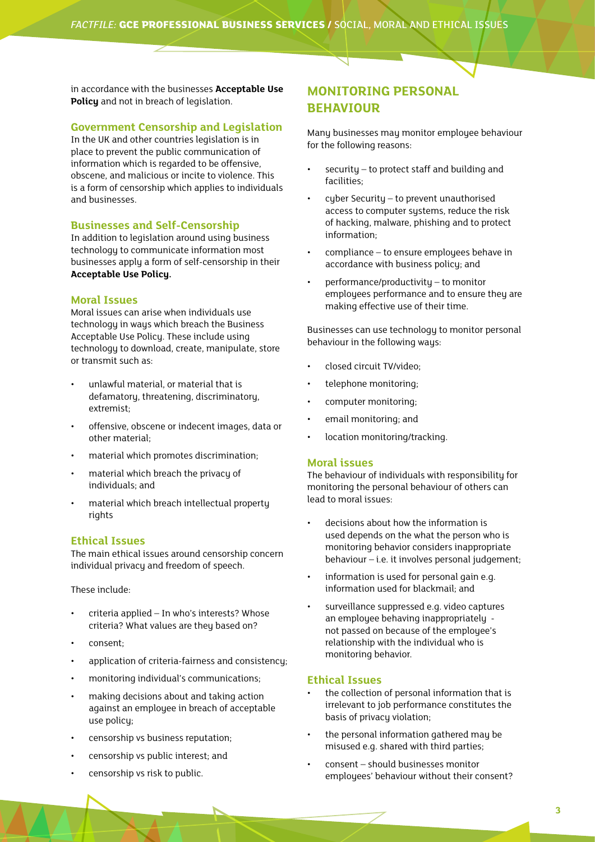in accordance with the businesses **Acceptable Use Policu** and not in breach of legislation.

#### **Government Censorship and Legislation**

In the UK and other countries legislation is in place to prevent the public communication of information which is regarded to be offensive, obscene, and malicious or incite to violence. This is a form of censorship which applies to individuals and businesses.

#### **Businesses and Self-Censorship**

In addition to legislation around using business technology to communicate information most businesses apply a form of self-censorship in their **Acceptable Use Policy.** 

#### **Moral Issues**

Moral issues can arise when individuals use technology in ways which breach the Business Acceptable Use Policy. These include using technology to download, create, manipulate, store or transmit such as:

- unlawful material, or material that is defamatory, threatening, discriminatory, extremist;
- offensive, obscene or indecent images, data or other material;
- material which promotes discrimination;
- material which breach the privacy of individuals; and
- material which breach intellectual property rights

#### **Ethical Issues**

The main ethical issues around censorship concern individual privacy and freedom of speech.

These include:

- $c$ riteria applied In who's interests? Whose criteria? What values are they based on?
- consent;
- application of criteria-fairness and consistency;
- monitoring individual's communications;
- making decisions about and taking action against an employee in breach of acceptable use policy;
- censorship vs business reputation;
- censorship vs public interest; and
- censorship vs risk to public.

# **MONITORING PERSONAL BEHAVIOUR**

Many businesses may monitor employee behaviour for the following reasons:

- security to protect staff and building and facilities;
- cyber Security to prevent unauthorised access to computer systems, reduce the risk of hacking, malware, phishing and to protect information;
- compliance to ensure employees behave in accordance with business policy; and
- performance/productivity to monitor employees performance and to ensure they are making effective use of their time.

Businesses can use technology to monitor personal behaviour in the following ways:

- closed circuit TV/video;
- telephone monitoring;
- computer monitoring;
- email monitoring; and
- location monitoring/tracking.

#### **Moral issues**

The behaviour of individuals with responsibility for monitoring the personal behaviour of others can lead to moral issues:

- decisions about how the information is used depends on the what the person who is monitoring behavior considers inappropriate behaviour – i.e. it involves personal judgement;
- information is used for personal gain e.g. information used for blackmail; and
- surveillance suppressed e.g. video captures an employee behaving inappropriately not passed on because of the employee's relationship with the individual who is monitoring behavior.

### **Ethical Issues**

- the collection of personal information that is irrelevant to job performance constitutes the basis of privacy violation;
- the personal information gathered may be misused e.g. shared with third parties;
- consent should businesses monitor employees' behaviour without their consent?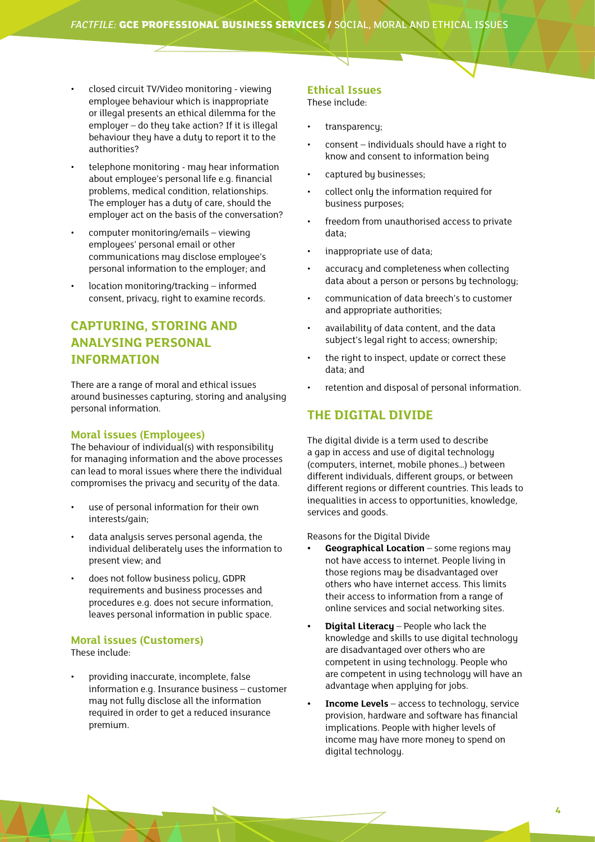- closed circuit TV/Video monitoring viewing employee behaviour which is inappropriate or illegal presents an ethical dilemma for the employer – do they take action? If it is illegal behaviour they have a duty to report it to the authorities?
- telephone monitoring may hear information about employee's personal life e.g. financial problems, medical condition, relationships. The employer has a duty of care, should the employer act on the basis of the conversation?
- computer monitoring/emails viewing employees' personal email or other communications may disclose employee's personal information to the employer; and
- location monitoring/tracking informed consent, privacy, right to examine records.

# **CAPTURING, STORING AND ANALYSING PERSONAL INFORMATION**

There are a range of moral and ethical issues around businesses capturing, storing and analysing personal information.

#### **Moral issues (Employees)**

The behaviour of individual(s) with responsibility for managing information and the above processes can lead to moral issues where there the individual compromises the privacy and security of the data.

- use of personal information for their own interests/gain;
- data analysis serves personal agenda, the individual deliberately uses the information to present view; and
- does not follow business policy, GDPR requirements and business processes and procedures e.g. does not secure information, leaves personal information in public space.

#### **Moral issues (Customers)**

These include:

• providing inaccurate, incomplete, false information e.g. Insurance business – customer may not fully disclose all the information required in order to get a reduced insurance premium.

#### **Ethical Issues**

These include:

- transparency;
- consent individuals should have a right to know and consent to information being
- captured by businesses;
- collect only the information required for business purposes;
- freedom from unauthorised access to private data;
- inappropriate use of data:
- accuracy and completeness when collecting data about a person or persons by technology;
- communication of data breech's to customer and appropriate authorities;
- availability of data content, and the data subject's legal right to access; ownership;
- the right to inspect, update or correct these data; and
- retention and disposal of personal information.

## **THE DIGITAL DIVIDE**

The digital divide is a term used to describe a gap in access and use of digital technology (computers, internet, mobile phones…) between different individuals, different groups, or between different regions or different countries. This leads to inequalities in access to opportunities, knowledge, services and goods.

Reasons for the Digital Divide

- **• Geographical Location**  some regions may not have access to internet. People living in those regions may be disadvantaged over others who have internet access. This limits their access to information from a range of online services and social networking sites.
- **• Digital Literacy** People who lack the knowledge and skills to use digital technology are disadvantaged over others who are competent in using technology. People who are competent in using technology will have an advantage when applying for jobs.
- **• Income Levels** access to technology, service provision, hardware and software has financial implications. People with higher levels of income may have more money to spend on digital technology.